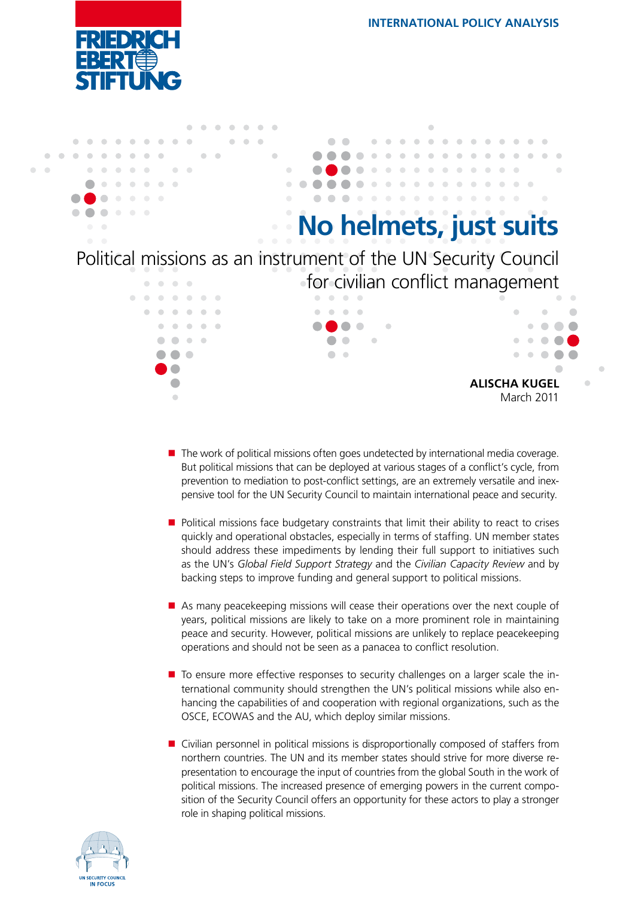



- $\blacksquare$  The work of political missions often goes undetected by international media coverage. But political missions that can be deployed at various stages of a conflict's cycle, from prevention to mediation to post-conflict settings, are an extremely versatile and inexpensive tool for the UN Security Council to maintain international peace and security.
- **Political missions face budgetary constraints that limit their ability to react to crises** quickly and operational obstacles, especially in terms of staffing. UN member states should address these impediments by lending their full support to initiatives such as the UN's *Global Field Support Strategy* and the *Civilian Capacity Review* and by backing steps to improve funding and general support to political missions.
- As many peacekeeping missions will cease their operations over the next couple of years, political missions are likely to take on a more prominent role in maintaining peace and security. However, political missions are unlikely to replace peacekeeping operations and should not be seen as a panacea to conflict resolution.
- To ensure more effective responses to security challenges on a larger scale the international community should strengthen the UN's political missions while also enhancing the capabilities of and cooperation with regional organizations, such as the OSCE, ECOWAS and the AU, which deploy similar missions.
- **D** Civilian personnel in political missions is disproportionally composed of staffers from northern countries. The UN and its member states should strive for more diverse representation to encourage the input of countries from the global South in the work of political missions. The increased presence of emerging powers in the current composition of the Security Council offers an opportunity for these actors to play a stronger role in shaping political missions.

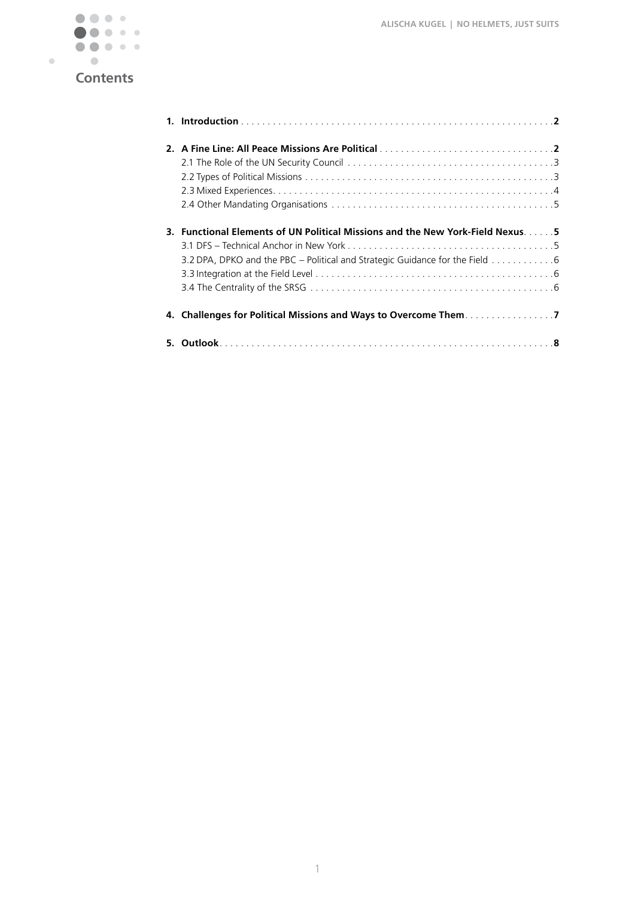

|    | 3. Functional Elements of UN Political Missions and the New York-Field Nexus5<br>3.2 DPA, DPKO and the PBC – Political and Strategic Guidance for the Field 6 |
|----|---------------------------------------------------------------------------------------------------------------------------------------------------------------|
|    |                                                                                                                                                               |
| 5. |                                                                                                                                                               |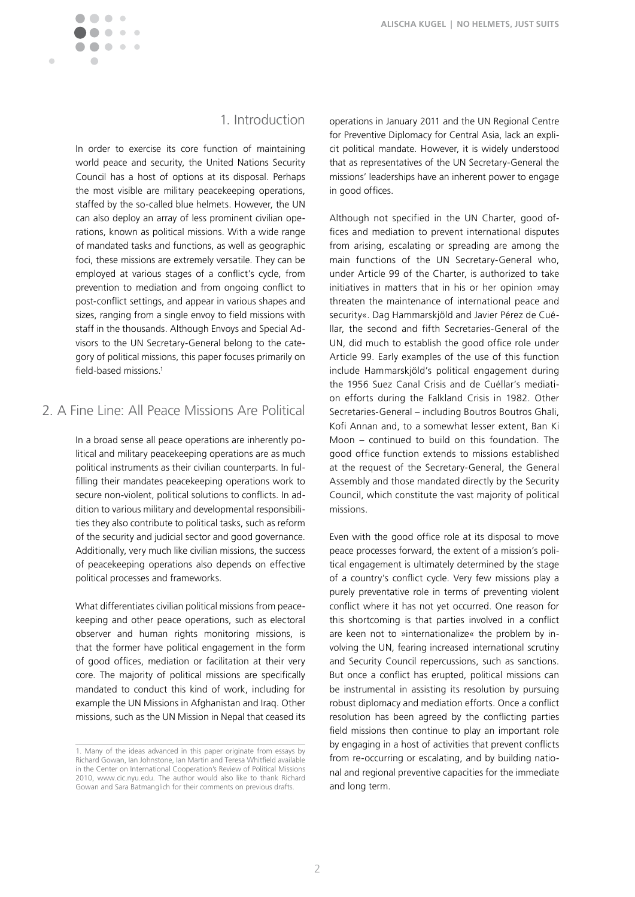$\blacksquare$ 

## 1. Introduction

In order to exercise its core function of maintaining world peace and security, the United Nations Security Council has a host of options at its disposal. Perhaps the most visible are military peacekeeping operations, staffed by the so-called blue helmets. However, the UN can also deploy an array of less prominent civilian operations, known as political missions. With a wide range of mandated tasks and functions, as well as geographic foci, these missions are extremely versatile. They can be employed at various stages of a conflict's cycle, from prevention to mediation and from ongoing conflict to post-conflict settings, and appear in various shapes and sizes, ranging from a single envoy to field missions with staff in the thousands. Although Envoys and Special Advisors to the UN Secretary-General belong to the category of political missions, this paper focuses primarily on field-based missions.1

## 2. A Fine Line: All Peace Missions Are Political

In a broad sense all peace operations are inherently political and military peacekeeping operations are as much political instruments as their civilian counterparts. In fulfilling their mandates peacekeeping operations work to secure non-violent, political solutions to conflicts. In addition to various military and developmental responsibilities they also contribute to political tasks, such as reform of the security and judicial sector and good governance. Additionally, very much like civilian missions, the success of peacekeeping operations also depends on effective political processes and frameworks.

What differentiates civilian political missions from peacekeeping and other peace operations, such as electoral observer and human rights monitoring missions, is that the former have political engagement in the form of good offices, mediation or facilitation at their very core. The majority of political missions are specifically mandated to conduct this kind of work, including for example the UN Missions in Afghanistan and Iraq. Other missions, such as the UN Mission in Nepal that ceased its

operations in January 2011 and the UN Regional Centre for Preventive Diplomacy for Central Asia, lack an explicit political mandate. However, it is widely understood that as representatives of the UN Secretary-General the missions' leaderships have an inherent power to engage in good offices.

Although not specified in the UN Charter, good offices and mediation to prevent international disputes from arising, escalating or spreading are among the main functions of the UN Secretary-General who, under Article 99 of the Charter, is authorized to take initiatives in matters that in his or her opinion »may threaten the maintenance of international peace and security«. Dag Hammarskjöld and Javier Pérez de Cuéllar, the second and fifth Secretaries-General of the UN, did much to establish the good office role under Article 99. Early examples of the use of this function include Hammarskjöld's political engagement during the 1956 Suez Canal Crisis and de Cuéllar's mediation efforts during the Falkland Crisis in 1982. Other Secretaries-General – including Boutros Boutros Ghali, Kofi Annan and, to a somewhat lesser extent, Ban Ki Moon – continued to build on this foundation. The good office function extends to missions established at the request of the Secretary-General, the General Assembly and those mandated directly by the Security Council, which constitute the vast majority of political missions.

Even with the good office role at its disposal to move peace processes forward, the extent of a mission's political engagement is ultimately determined by the stage of a country's conflict cycle. Very few missions play a purely preventative role in terms of preventing violent conflict where it has not yet occurred. One reason for this shortcoming is that parties involved in a conflict are keen not to »internationalize« the problem by involving the UN, fearing increased international scrutiny and Security Council repercussions, such as sanctions. But once a conflict has erupted, political missions can be instrumental in assisting its resolution by pursuing robust diplomacy and mediation efforts. Once a conflict resolution has been agreed by the conflicting parties field missions then continue to play an important role by engaging in a host of activities that prevent conflicts from re-occurring or escalating, and by building national and regional preventive capacities for the immediate and long term.

<sup>1.</sup> Many of the ideas advanced in this paper originate from essays by Richard Gowan, Ian Johnstone, Ian Martin and Teresa Whitfield available in the Center on International Cooperation's Review of Political Missions 2010, www.cic.nyu.edu. The author would also like to thank Richard Gowan and Sara Batmanglich for their comments on previous drafts.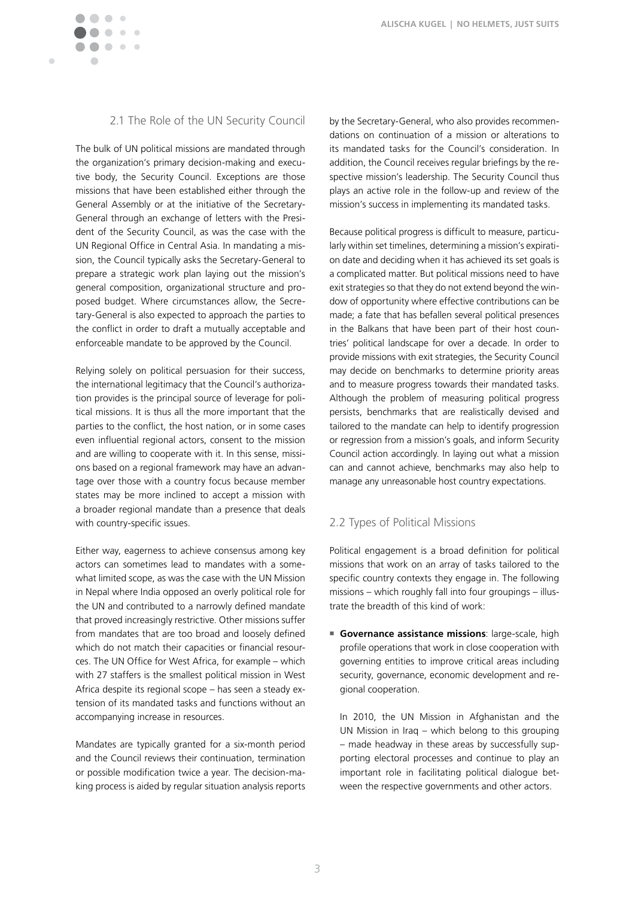

### 2.1 The Role of the UN Security Council

The bulk of UN political missions are mandated through the organization's primary decision-making and executive body, the Security Council. Exceptions are those missions that have been established either through the General Assembly or at the initiative of the Secretary-General through an exchange of letters with the President of the Security Council, as was the case with the UN Regional Office in Central Asia. In mandating a mission, the Council typically asks the Secretary-General to prepare a strategic work plan laying out the mission's general composition, organizational structure and proposed budget. Where circumstances allow, the Secretary-General is also expected to approach the parties to the conflict in order to draft a mutually acceptable and enforceable mandate to be approved by the Council.

Relying solely on political persuasion for their success, the international legitimacy that the Council's authorization provides is the principal source of leverage for political missions. It is thus all the more important that the parties to the conflict, the host nation, or in some cases even influential regional actors, consent to the mission and are willing to cooperate with it. In this sense, missions based on a regional framework may have an advantage over those with a country focus because member states may be more inclined to accept a mission with a broader regional mandate than a presence that deals with country-specific issues.

Either way, eagerness to achieve consensus among key actors can sometimes lead to mandates with a somewhat limited scope, as was the case with the UN Mission in Nepal where India opposed an overly political role for the UN and contributed to a narrowly defined mandate that proved increasingly restrictive. Other missions suffer from mandates that are too broad and loosely defined which do not match their capacities or financial resources. The UN Office for West Africa, for example – which with 27 staffers is the smallest political mission in West Africa despite its regional scope – has seen a steady extension of its mandated tasks and functions without an accompanying increase in resources.

Mandates are typically granted for a six-month period and the Council reviews their continuation, termination or possible modification twice a year. The decision-making process is aided by regular situation analysis reports by the Secretary-General, who also provides recommendations on continuation of a mission or alterations to its mandated tasks for the Council's consideration. In addition, the Council receives regular briefings by the respective mission's leadership. The Security Council thus plays an active role in the follow-up and review of the mission's success in implementing its mandated tasks.

Because political progress is difficult to measure, particularly within set timelines, determining a mission's expiration date and deciding when it has achieved its set goals is a complicated matter. But political missions need to have exit strategies so that they do not extend beyond the window of opportunity where effective contributions can be made; a fate that has befallen several political presences in the Balkans that have been part of their host countries' political landscape for over a decade. In order to provide missions with exit strategies, the Security Council may decide on benchmarks to determine priority areas and to measure progress towards their mandated tasks. Although the problem of measuring political progress persists, benchmarks that are realistically devised and tailored to the mandate can help to identify progression or regression from a mission's goals, and inform Security Council action accordingly. In laying out what a mission can and cannot achieve, benchmarks may also help to manage any unreasonable host country expectations.

#### 2.2 Types of Political Missions

Political engagement is a broad definition for political missions that work on an array of tasks tailored to the specific country contexts they engage in. The following missions – which roughly fall into four groupings – illustrate the breadth of this kind of work:

**Governance assistance missions**: large-scale, high profile operations that work in close cooperation with governing entities to improve critical areas including security, governance, economic development and regional cooperation.

 In 2010, the UN Mission in Afghanistan and the UN Mission in Iraq – which belong to this grouping – made headway in these areas by successfully supporting electoral processes and continue to play an important role in facilitating political dialogue between the respective governments and other actors.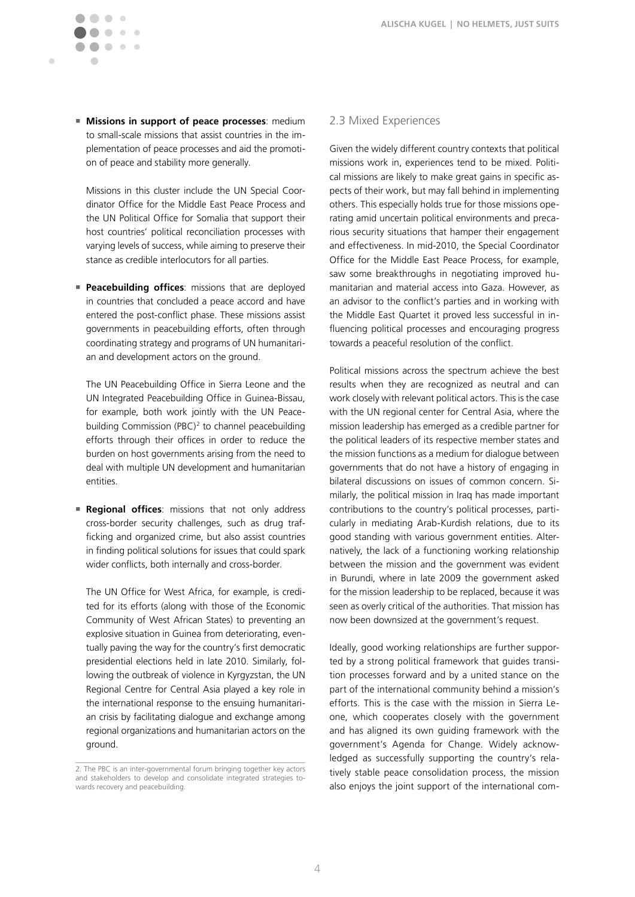**Missions in support of peace processes**: medium to small-scale missions that assist countries in the implementation of peace processes and aid the promotion of peace and stability more generally.

 $\sqrt{2}$  $\overline{a}$  $\mathcal{C}$ 

 $\sqrt{2}$ **COLLEGE** 

 $\blacksquare$ 

 Missions in this cluster include the UN Special Coordinator Office for the Middle East Peace Process and the UN Political Office for Somalia that support their host countries' political reconciliation processes with varying levels of success, while aiming to preserve their stance as credible interlocutors for all parties.

**Peacebuilding offices:** missions that are deployed in countries that concluded a peace accord and have entered the post-conflict phase. These missions assist governments in peacebuilding efforts, often through coordinating strategy and programs of UN humanitarian and development actors on the ground.

 The UN Peacebuilding Office in Sierra Leone and the UN Integrated Peacebuilding Office in Guinea-Bissau, for example, both work jointly with the UN Peacebuilding Commission (PBC)<sup>2</sup> to channel peacebuilding efforts through their offices in order to reduce the burden on host governments arising from the need to deal with multiple UN development and humanitarian entities.

**Regional offices:** missions that not only address cross-border security challenges, such as drug trafficking and organized crime, but also assist countries in finding political solutions for issues that could spark wider conflicts, both internally and cross-border.

 The UN Office for West Africa, for example, is credited for its efforts (along with those of the Economic Community of West African States) to preventing an explosive situation in Guinea from deteriorating, eventually paving the way for the country's first democratic presidential elections held in late 2010. Similarly, following the outbreak of violence in Kyrgyzstan, the UN Regional Centre for Central Asia played a key role in the international response to the ensuing humanitarian crisis by facilitating dialogue and exchange among regional organizations and humanitarian actors on the ground.

#### 2.3 Mixed Experiences

Given the widely different country contexts that political missions work in, experiences tend to be mixed. Political missions are likely to make great gains in specific aspects of their work, but may fall behind in implementing others. This especially holds true for those missions operating amid uncertain political environments and precarious security situations that hamper their engagement and effectiveness. In mid-2010, the Special Coordinator Office for the Middle East Peace Process, for example, saw some breakthroughs in negotiating improved humanitarian and material access into Gaza. However, as an advisor to the conflict's parties and in working with the Middle East Quartet it proved less successful in influencing political processes and encouraging progress towards a peaceful resolution of the conflict.

Political missions across the spectrum achieve the best results when they are recognized as neutral and can work closely with relevant political actors. This is the case with the UN regional center for Central Asia, where the mission leadership has emerged as a credible partner for the political leaders of its respective member states and the mission functions as a medium for dialogue between governments that do not have a history of engaging in bilateral discussions on issues of common concern. Similarly, the political mission in Iraq has made important contributions to the country's political processes, particularly in mediating Arab-Kurdish relations, due to its good standing with various government entities. Alternatively, the lack of a functioning working relationship between the mission and the government was evident in Burundi, where in late 2009 the government asked for the mission leadership to be replaced, because it was seen as overly critical of the authorities. That mission has now been downsized at the government's request.

Ideally, good working relationships are further supported by a strong political framework that guides transition processes forward and by a united stance on the part of the international community behind a mission's efforts. This is the case with the mission in Sierra Leone, which cooperates closely with the government and has aligned its own guiding framework with the government's Agenda for Change. Widely acknowledged as successfully supporting the country's relatively stable peace consolidation process, the mission also enjoys the joint support of the international com-

<sup>2.</sup> The PBC is an inter-governmental forum bringing together key actors and stakeholders to develop and consolidate integrated strategies towards recovery and peacebuilding.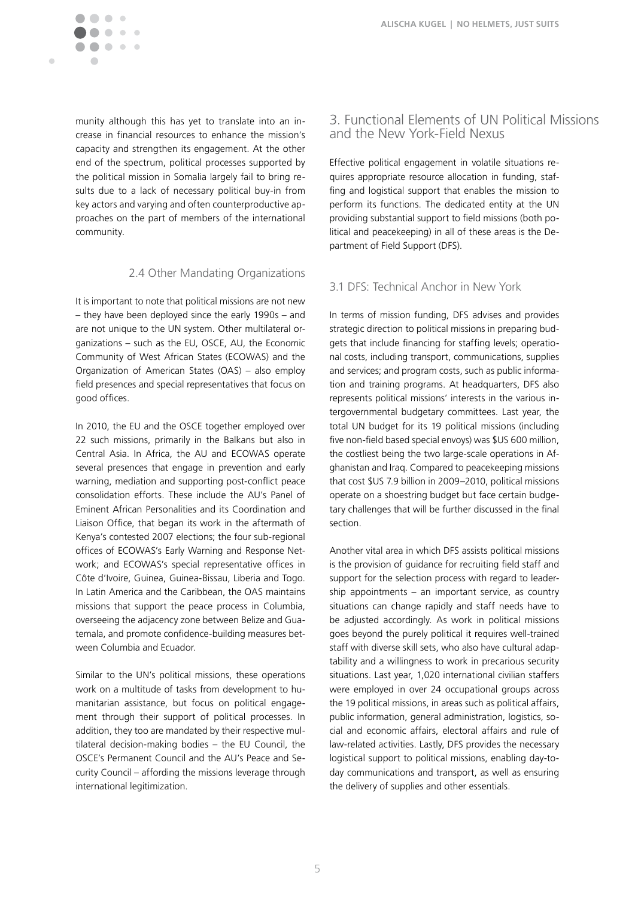

Ċ

 $\sim$ 

munity although this has yet to translate into an increase in financial resources to enhance the mission's capacity and strengthen its engagement. At the other end of the spectrum, political processes supported by the political mission in Somalia largely fail to bring results due to a lack of necessary political buy-in from key actors and varying and often counterproductive approaches on the part of members of the international community.

#### 2.4 Other Mandating Organizations

It is important to note that political missions are not new – they have been deployed since the early 1990s – and are not unique to the UN system. Other multilateral organizations – such as the EU, OSCE, AU, the Economic Community of West African States (ECOWAS) and the Organization of American States (OAS) – also employ field presences and special representatives that focus on good offices.

In 2010, the EU and the OSCE together employed over 22 such missions, primarily in the Balkans but also in Central Asia. In Africa, the AU and ECOWAS operate several presences that engage in prevention and early warning, mediation and supporting post-conflict peace consolidation efforts. These include the AU's Panel of Eminent African Personalities and its Coordination and Liaison Office, that began its work in the aftermath of Kenya's contested 2007 elections; the four sub-regional offices of ECOWAS's Early Warning and Response Network; and ECOWAS's special representative offices in Côte d'Ivoire, Guinea, Guinea-Bissau, Liberia and Togo. In Latin America and the Caribbean, the OAS maintains missions that support the peace process in Columbia, overseeing the adjacency zone between Belize and Guatemala, and promote confidence-building measures between Columbia and Ecuador.

Similar to the UN's political missions, these operations work on a multitude of tasks from development to humanitarian assistance, but focus on political engagement through their support of political processes. In addition, they too are mandated by their respective multilateral decision-making bodies – the EU Council, the OSCE's Permanent Council and the AU's Peace and Security Council – affording the missions leverage through international legitimization.

## 3. Functional Elements of UN Political Missions and the New York-Field Nexus

Effective political engagement in volatile situations requires appropriate resource allocation in funding, staffing and logistical support that enables the mission to perform its functions. The dedicated entity at the UN providing substantial support to field missions (both political and peacekeeping) in all of these areas is the Department of Field Support (DFS).

### 3.1 DFS: Technical Anchor in New York

In terms of mission funding, DFS advises and provides strategic direction to political missions in preparing budgets that include financing for staffing levels; operational costs, including transport, communications, supplies and services; and program costs, such as public information and training programs. At headquarters, DFS also represents political missions' interests in the various intergovernmental budgetary committees. Last year, the total UN budget for its 19 political missions (including five non-field based special envoys) was \$US 600 million, the costliest being the two large-scale operations in Afghanistan and Iraq. Compared to peacekeeping missions that cost \$US 7.9 billion in 2009–2010, political missions operate on a shoestring budget but face certain budgetary challenges that will be further discussed in the final section.

Another vital area in which DFS assists political missions is the provision of guidance for recruiting field staff and support for the selection process with regard to leadership appointments – an important service, as country situations can change rapidly and staff needs have to be adjusted accordingly. As work in political missions goes beyond the purely political it requires well-trained staff with diverse skill sets, who also have cultural adaptability and a willingness to work in precarious security situations. Last year, 1,020 international civilian staffers were employed in over 24 occupational groups across the 19 political missions, in areas such as political affairs, public information, general administration, logistics, social and economic affairs, electoral affairs and rule of law-related activities. Lastly, DFS provides the necessary logistical support to political missions, enabling day-today communications and transport, as well as ensuring the delivery of supplies and other essentials.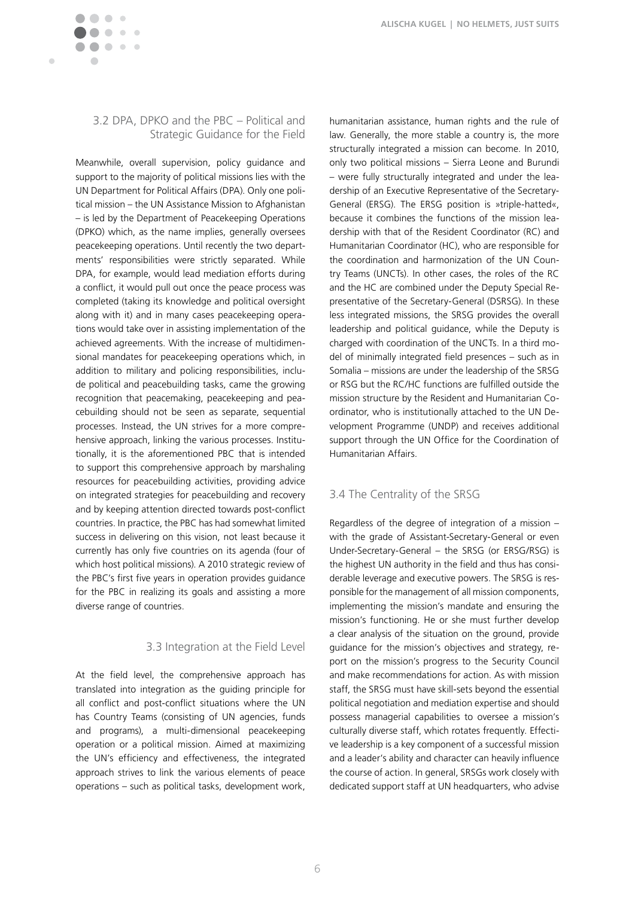

Ċ

### 3.2 DPA, DPKO and the PBC – Political and Strategic Guidance for the Field

Meanwhile, overall supervision, policy guidance and support to the majority of political missions lies with the UN Department for Political Affairs (DPA). Only one political mission – the UN Assistance Mission to Afghanistan – is led by the Department of Peacekeeping Operations (DPKO) which, as the name implies, generally oversees peacekeeping operations. Until recently the two departments' responsibilities were strictly separated. While DPA, for example, would lead mediation efforts during a conflict, it would pull out once the peace process was completed (taking its knowledge and political oversight along with it) and in many cases peacekeeping operations would take over in assisting implementation of the achieved agreements. With the increase of multidimensional mandates for peacekeeping operations which, in addition to military and policing responsibilities, include political and peacebuilding tasks, came the growing recognition that peacemaking, peacekeeping and peacebuilding should not be seen as separate, sequential processes. Instead, the UN strives for a more comprehensive approach, linking the various processes. Institutionally, it is the aforementioned PBC that is intended to support this comprehensive approach by marshaling resources for peacebuilding activities, providing advice on integrated strategies for peacebuilding and recovery and by keeping attention directed towards post-conflict countries. In practice, the PBC has had somewhat limited success in delivering on this vision, not least because it currently has only five countries on its agenda (four of which host political missions). A 2010 strategic review of the PBC's first five years in operation provides guidance for the PBC in realizing its goals and assisting a more diverse range of countries.

### 3.3 Integration at the Field Level

At the field level, the comprehensive approach has translated into integration as the guiding principle for all conflict and post-conflict situations where the UN has Country Teams (consisting of UN agencies, funds and programs), a multi-dimensional peacekeeping operation or a political mission. Aimed at maximizing the UN's efficiency and effectiveness, the integrated approach strives to link the various elements of peace operations – such as political tasks, development work,

humanitarian assistance, human rights and the rule of law. Generally, the more stable a country is, the more structurally integrated a mission can become. In 2010, only two political missions – Sierra Leone and Burundi – were fully structurally integrated and under the leadership of an Executive Representative of the Secretary-General (ERSG). The ERSG position is »triple-hatted«, because it combines the functions of the mission leadership with that of the Resident Coordinator (RC) and Humanitarian Coordinator (HC), who are responsible for the coordination and harmonization of the UN Country Teams (UNCTs). In other cases, the roles of the RC and the HC are combined under the Deputy Special Representative of the Secretary-General (DSRSG). In these less integrated missions, the SRSG provides the overall leadership and political guidance, while the Deputy is charged with coordination of the UNCTs. In a third model of minimally integrated field presences – such as in Somalia – missions are under the leadership of the SRSG or RSG but the RC/HC functions are fulfilled outside the mission structure by the Resident and Humanitarian Coordinator, who is institutionally attached to the UN Development Programme (UNDP) and receives additional support through the UN Office for the Coordination of Humanitarian Affairs.

### 3.4 The Centrality of the SRSG

Regardless of the degree of integration of a mission – with the grade of Assistant-Secretary-General or even Under-Secretary-General – the SRSG (or ERSG/RSG) is the highest UN authority in the field and thus has considerable leverage and executive powers. The SRSG is responsible for the management of all mission components, implementing the mission's mandate and ensuring the mission's functioning. He or she must further develop a clear analysis of the situation on the ground, provide guidance for the mission's objectives and strategy, report on the mission's progress to the Security Council and make recommendations for action. As with mission staff, the SRSG must have skill-sets beyond the essential political negotiation and mediation expertise and should possess managerial capabilities to oversee a mission's culturally diverse staff, which rotates frequently. Effective leadership is a key component of a successful mission and a leader's ability and character can heavily influence the course of action. In general, SRSGs work closely with dedicated support staff at UN headquarters, who advise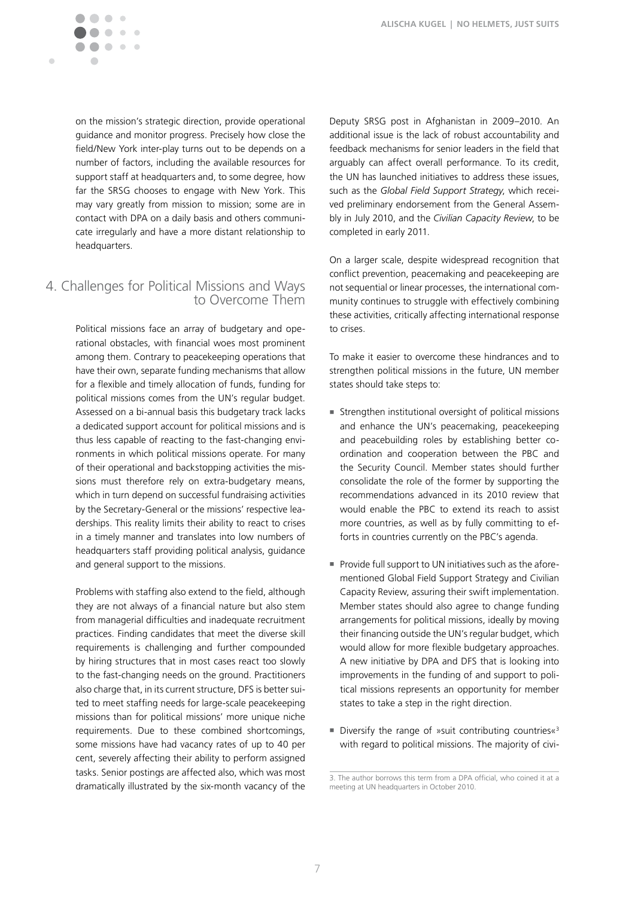

on the mission's strategic direction, provide operational guidance and monitor progress. Precisely how close the field/New York inter-play turns out to be depends on a number of factors, including the available resources for support staff at headquarters and, to some degree, how far the SRSG chooses to engage with New York. This may vary greatly from mission to mission; some are in contact with DPA on a daily basis and others communicate irregularly and have a more distant relationship to headquarters.

# 4. Challenges for Political Missions and Ways to Overcome Them

Political missions face an array of budgetary and operational obstacles, with financial woes most prominent among them. Contrary to peacekeeping operations that have their own, separate funding mechanisms that allow for a flexible and timely allocation of funds, funding for political missions comes from the UN's regular budget. Assessed on a bi-annual basis this budgetary track lacks a dedicated support account for political missions and is thus less capable of reacting to the fast-changing environments in which political missions operate. For many of their operational and backstopping activities the missions must therefore rely on extra-budgetary means, which in turn depend on successful fundraising activities by the Secretary-General or the missions' respective leaderships. This reality limits their ability to react to crises in a timely manner and translates into low numbers of headquarters staff providing political analysis, guidance and general support to the missions.

Problems with staffing also extend to the field, although they are not always of a financial nature but also stem from managerial difficulties and inadequate recruitment practices. Finding candidates that meet the diverse skill requirements is challenging and further compounded by hiring structures that in most cases react too slowly to the fast-changing needs on the ground. Practitioners also charge that, in its current structure, DFS is better suited to meet staffing needs for large-scale peacekeeping missions than for political missions' more unique niche requirements. Due to these combined shortcomings, some missions have had vacancy rates of up to 40 per cent, severely affecting their ability to perform assigned tasks. Senior postings are affected also, which was most dramatically illustrated by the six-month vacancy of the

Deputy SRSG post in Afghanistan in 2009–2010. An additional issue is the lack of robust accountability and feedback mechanisms for senior leaders in the field that arguably can affect overall performance. To its credit, the UN has launched initiatives to address these issues, such as the *Global Field Support Strategy*, which received preliminary endorsement from the General Assembly in July 2010, and the *Civilian Capacity Review*, to be completed in early 2011.

On a larger scale, despite widespread recognition that conflict prevention, peacemaking and peacekeeping are not sequential or linear processes, the international community continues to struggle with effectively combining these activities, critically affecting international response to crises.

To make it easier to overcome these hindrances and to strengthen political missions in the future, UN member states should take steps to:

- Strengthen institutional oversight of political missions and enhance the UN's peacemaking, peacekeeping and peacebuilding roles by establishing better coordination and cooperation between the PBC and the Security Council. Member states should further consolidate the role of the former by supporting the recommendations advanced in its 2010 review that would enable the PBC to extend its reach to assist more countries, as well as by fully committing to efforts in countries currently on the PBC's agenda.
- **Provide full support to UN initiatives such as the afore**mentioned Global Field Support Strategy and Civilian Capacity Review, assuring their swift implementation. Member states should also agree to change funding arrangements for political missions, ideally by moving their financing outside the UN's regular budget, which would allow for more flexible budgetary approaches. A new initiative by DPA and DFS that is looking into improvements in the funding of and support to political missions represents an opportunity for member states to take a step in the right direction.
- Diversify the range of »suit contributing countries« $3$ with regard to political missions. The majority of civi-

<sup>3.</sup> The author borrows this term from a DPA official, who coined it at a meeting at UN headquarters in October 2010.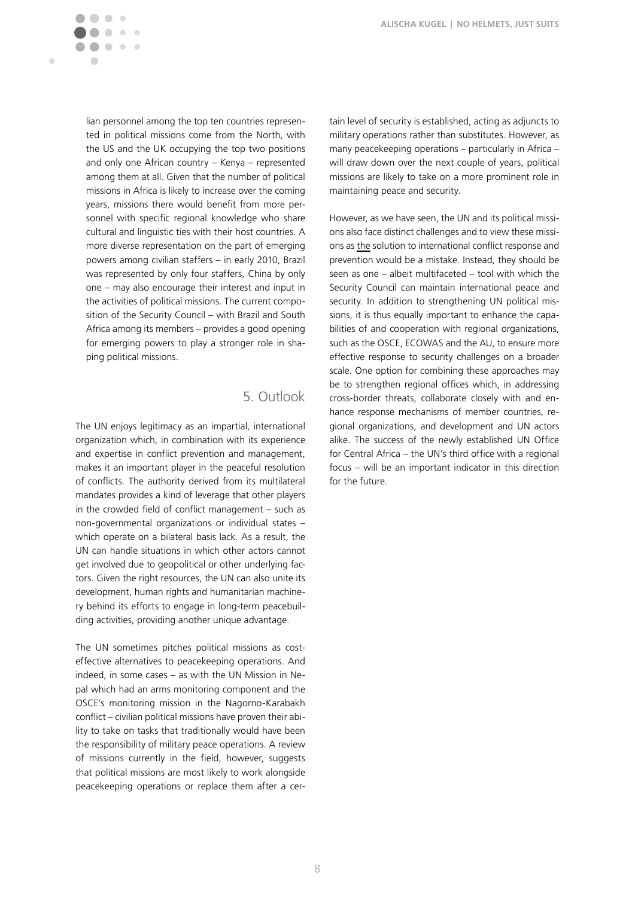$\blacksquare$ 

lian personnel among the top ten countries represented in political missions come from the North, with the US and the UK occupying the top two positions and only one African country – Kenya – represented among them at all. Given that the number of political missions in Africa is likely to increase over the coming years, missions there would benefit from more personnel with specific regional knowledge who share cultural and linguistic ties with their host countries. A more diverse representation on the part of emerging powers among civilian staffers – in early 2010, Brazil was represented by only four staffers, China by only one – may also encourage their interest and input in the activities of political missions. The current composition of the Security Council – with Brazil and South Africa among its members – provides a good opening for emerging powers to play a stronger role in shaping political missions.

## 5. Outlook

The UN enjoys legitimacy as an impartial, international organization which, in combination with its experience and expertise in conflict prevention and management, makes it an important player in the peaceful resolution of conflicts. The authority derived from its multilateral mandates provides a kind of leverage that other players in the crowded field of conflict management – such as non-governmental organizations or individual states – which operate on a bilateral basis lack. As a result, the UN can handle situations in which other actors cannot get involved due to geopolitical or other underlying factors. Given the right resources, the UN can also unite its development, human rights and humanitarian machinery behind its efforts to engage in long-term peacebuilding activities, providing another unique advantage.

The UN sometimes pitches political missions as costeffective alternatives to peacekeeping operations. And indeed, in some cases – as with the UN Mission in Nepal which had an arms monitoring component and the OSCE's monitoring mission in the Nagorno-Karabakh conflict – civilian political missions have proven their ability to take on tasks that traditionally would have been the responsibility of military peace operations. A review of missions currently in the field, however, suggests that political missions are most likely to work alongside peacekeeping operations or replace them after a certain level of security is established, acting as adjuncts to military operations rather than substitutes. However, as many peacekeeping operations – particularly in Africa – will draw down over the next couple of years, political missions are likely to take on a more prominent role in maintaining peace and security.

However, as we have seen, the UN and its political missions also face distinct challenges and to view these missions as the solution to international conflict response and prevention would be a mistake. Instead, they should be seen as one – albeit multifaceted – tool with which the Security Council can maintain international peace and security. In addition to strengthening UN political missions, it is thus equally important to enhance the capabilities of and cooperation with regional organizations, such as the OSCE, ECOWAS and the AU, to ensure more effective response to security challenges on a broader scale. One option for combining these approaches may be to strengthen regional offices which, in addressing cross-border threats, collaborate closely with and enhance response mechanisms of member countries, regional organizations, and development and UN actors alike. The success of the newly established UN Office for Central Africa – the UN's third office with a regional focus – will be an important indicator in this direction for the future.